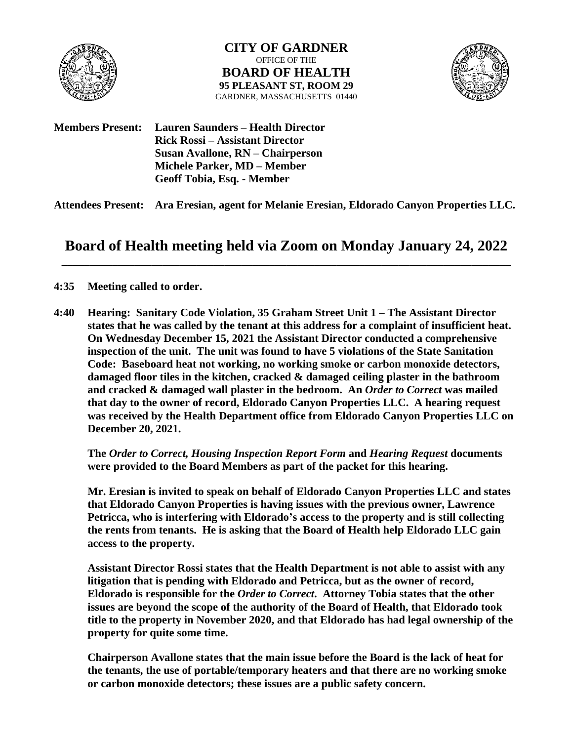

**CITY OF GARDNER** OFFICE OF THE **BOARD OF HEALTH 95 PLEASANT ST, ROOM 29** GARDNER, MASSACHUSETTS 01440



**Members Present: Lauren Saunders – Health Director Rick Rossi – Assistant Director Susan Avallone, RN – Chairperson Michele Parker, MD – Member Geoff Tobia, Esq. - Member**

**Attendees Present: Ara Eresian, agent for Melanie Eresian, Eldorado Canyon Properties LLC.**

## **Board of Health meeting held via Zoom on Monday January 24, 2022 \_\_\_\_\_\_\_\_\_\_\_\_\_\_\_\_\_\_\_\_\_\_\_\_\_\_\_\_\_\_\_\_\_\_\_\_\_\_\_\_\_\_\_\_\_\_\_\_\_\_\_\_\_\_\_\_\_\_\_\_\_\_\_\_\_\_\_\_\_\_\_\_\_\_\_\_\_\_\_\_**

## **4:35 Meeting called to order.**

**4:40 Hearing: Sanitary Code Violation, 35 Graham Street Unit 1 – The Assistant Director states that he was called by the tenant at this address for a complaint of insufficient heat. On Wednesday December 15, 2021 the Assistant Director conducted a comprehensive inspection of the unit. The unit was found to have 5 violations of the State Sanitation Code: Baseboard heat not working, no working smoke or carbon monoxide detectors, damaged floor tiles in the kitchen, cracked & damaged ceiling plaster in the bathroom and cracked & damaged wall plaster in the bedroom. An** *Order to Correct* **was mailed that day to the owner of record, Eldorado Canyon Properties LLC. A hearing request was received by the Health Department office from Eldorado Canyon Properties LLC on December 20, 2021.** 

**The** *Order to Correct, Housing Inspection Report Form* **and** *Hearing Request* **documents were provided to the Board Members as part of the packet for this hearing.**

**Mr. Eresian is invited to speak on behalf of Eldorado Canyon Properties LLC and states that Eldorado Canyon Properties is having issues with the previous owner, Lawrence Petricca, who is interfering with Eldorado's access to the property and is still collecting the rents from tenants. He is asking that the Board of Health help Eldorado LLC gain access to the property.** 

**Assistant Director Rossi states that the Health Department is not able to assist with any litigation that is pending with Eldorado and Petricca, but as the owner of record, Eldorado is responsible for the** *Order to Correct***. Attorney Tobia states that the other issues are beyond the scope of the authority of the Board of Health, that Eldorado took title to the property in November 2020, and that Eldorado has had legal ownership of the property for quite some time.**

**Chairperson Avallone states that the main issue before the Board is the lack of heat for the tenants, the use of portable/temporary heaters and that there are no working smoke or carbon monoxide detectors; these issues are a public safety concern.**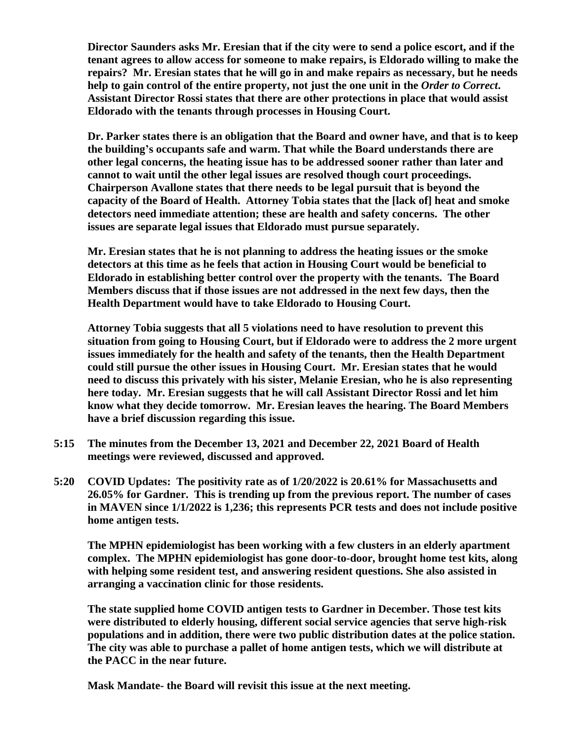**Director Saunders asks Mr. Eresian that if the city were to send a police escort, and if the tenant agrees to allow access for someone to make repairs, is Eldorado willing to make the repairs? Mr. Eresian states that he will go in and make repairs as necessary, but he needs help to gain control of the entire property, not just the one unit in the** *Order to Correct***. Assistant Director Rossi states that there are other protections in place that would assist Eldorado with the tenants through processes in Housing Court.** 

**Dr. Parker states there is an obligation that the Board and owner have, and that is to keep the building's occupants safe and warm. That while the Board understands there are other legal concerns, the heating issue has to be addressed sooner rather than later and cannot to wait until the other legal issues are resolved though court proceedings. Chairperson Avallone states that there needs to be legal pursuit that is beyond the capacity of the Board of Health. Attorney Tobia states that the [lack of] heat and smoke detectors need immediate attention; these are health and safety concerns. The other issues are separate legal issues that Eldorado must pursue separately.**

**Mr. Eresian states that he is not planning to address the heating issues or the smoke detectors at this time as he feels that action in Housing Court would be beneficial to Eldorado in establishing better control over the property with the tenants. The Board Members discuss that if those issues are not addressed in the next few days, then the Health Department would have to take Eldorado to Housing Court.**

**Attorney Tobia suggests that all 5 violations need to have resolution to prevent this situation from going to Housing Court, but if Eldorado were to address the 2 more urgent issues immediately for the health and safety of the tenants, then the Health Department could still pursue the other issues in Housing Court. Mr. Eresian states that he would need to discuss this privately with his sister, Melanie Eresian, who he is also representing here today. Mr. Eresian suggests that he will call Assistant Director Rossi and let him know what they decide tomorrow. Mr. Eresian leaves the hearing. The Board Members have a brief discussion regarding this issue.** 

- **5:15 The minutes from the December 13, 2021 and December 22, 2021 Board of Health meetings were reviewed, discussed and approved.**
- **5:20 COVID Updates: The positivity rate as of 1/20/2022 is 20.61% for Massachusetts and 26.05% for Gardner. This is trending up from the previous report. The number of cases in MAVEN since 1/1/2022 is 1,236; this represents PCR tests and does not include positive home antigen tests.**

**The MPHN epidemiologist has been working with a few clusters in an elderly apartment complex. The MPHN epidemiologist has gone door-to-door, brought home test kits, along with helping some resident test, and answering resident questions. She also assisted in arranging a vaccination clinic for those residents.**

**The state supplied home COVID antigen tests to Gardner in December. Those test kits were distributed to elderly housing, different social service agencies that serve high-risk populations and in addition, there were two public distribution dates at the police station. The city was able to purchase a pallet of home antigen tests, which we will distribute at the PACC in the near future.**

**Mask Mandate- the Board will revisit this issue at the next meeting.**